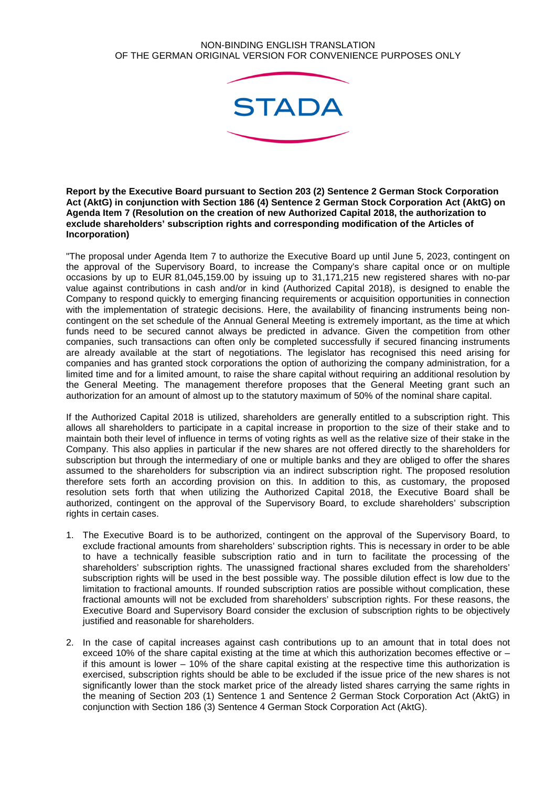## NON-BINDING ENGLISH TRANSLATION OF THE GERMAN ORIGINAL VERSION FOR CONVENIENCE PURPOSES ONLY



**Report by the Executive Board pursuant to Section 203 (2) Sentence 2 German Stock Corporation Act (AktG) in conjunction with Section 186 (4) Sentence 2 German Stock Corporation Act (AktG) on Agenda Item 7 (Resolution on the creation of new Authorized Capital 2018, the authorization to exclude shareholders' subscription rights and corresponding modification of the Articles of Incorporation)** 

"The proposal under Agenda Item 7 to authorize the Executive Board up until June 5, 2023, contingent on the approval of the Supervisory Board, to increase the Company's share capital once or on multiple occasions by up to EUR 81,045,159.00 by issuing up to 31,171,215 new registered shares with no-par value against contributions in cash and/or in kind (Authorized Capital 2018), is designed to enable the Company to respond quickly to emerging financing requirements or acquisition opportunities in connection with the implementation of strategic decisions. Here, the availability of financing instruments being noncontingent on the set schedule of the Annual General Meeting is extremely important, as the time at which funds need to be secured cannot always be predicted in advance. Given the competition from other companies, such transactions can often only be completed successfully if secured financing instruments are already available at the start of negotiations. The legislator has recognised this need arising for companies and has granted stock corporations the option of authorizing the company administration, for a limited time and for a limited amount, to raise the share capital without requiring an additional resolution by the General Meeting. The management therefore proposes that the General Meeting grant such an authorization for an amount of almost up to the statutory maximum of 50% of the nominal share capital.

If the Authorized Capital 2018 is utilized, shareholders are generally entitled to a subscription right. This allows all shareholders to participate in a capital increase in proportion to the size of their stake and to maintain both their level of influence in terms of voting rights as well as the relative size of their stake in the Company. This also applies in particular if the new shares are not offered directly to the shareholders for subscription but through the intermediary of one or multiple banks and they are obliged to offer the shares assumed to the shareholders for subscription via an indirect subscription right. The proposed resolution therefore sets forth an according provision on this. In addition to this, as customary, the proposed resolution sets forth that when utilizing the Authorized Capital 2018, the Executive Board shall be authorized, contingent on the approval of the Supervisory Board, to exclude shareholders' subscription rights in certain cases.

- 1. The Executive Board is to be authorized, contingent on the approval of the Supervisory Board, to exclude fractional amounts from shareholders' subscription rights. This is necessary in order to be able to have a technically feasible subscription ratio and in turn to facilitate the processing of the shareholders' subscription rights. The unassigned fractional shares excluded from the shareholders' subscription rights will be used in the best possible way. The possible dilution effect is low due to the limitation to fractional amounts. If rounded subscription ratios are possible without complication, these fractional amounts will not be excluded from shareholders' subscription rights. For these reasons, the Executive Board and Supervisory Board consider the exclusion of subscription rights to be objectively justified and reasonable for shareholders.
- 2. In the case of capital increases against cash contributions up to an amount that in total does not exceed 10% of the share capital existing at the time at which this authorization becomes effective or – if this amount is lower – 10% of the share capital existing at the respective time this authorization is exercised, subscription rights should be able to be excluded if the issue price of the new shares is not significantly lower than the stock market price of the already listed shares carrying the same rights in the meaning of Section 203 (1) Sentence 1 and Sentence 2 German Stock Corporation Act (AktG) in conjunction with Section 186 (3) Sentence 4 German Stock Corporation Act (AktG).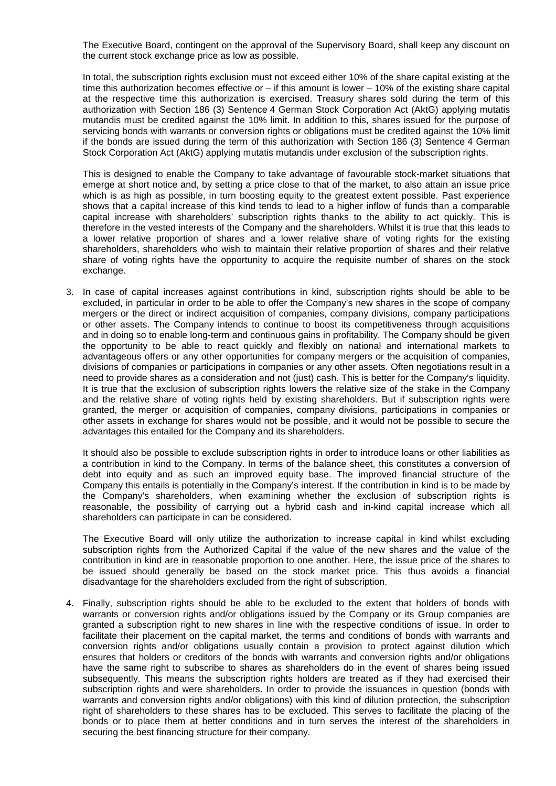The Executive Board, contingent on the approval of the Supervisory Board, shall keep any discount on the current stock exchange price as low as possible.

In total, the subscription rights exclusion must not exceed either 10% of the share capital existing at the time this authorization becomes effective or – if this amount is lower – 10% of the existing share capital at the respective time this authorization is exercised. Treasury shares sold during the term of this authorization with Section 186 (3) Sentence 4 German Stock Corporation Act (AktG) applying mutatis mutandis must be credited against the 10% limit. In addition to this, shares issued for the purpose of servicing bonds with warrants or conversion rights or obligations must be credited against the 10% limit if the bonds are issued during the term of this authorization with Section 186 (3) Sentence 4 German Stock Corporation Act (AktG) applying mutatis mutandis under exclusion of the subscription rights.

This is designed to enable the Company to take advantage of favourable stock-market situations that emerge at short notice and, by setting a price close to that of the market, to also attain an issue price which is as high as possible, in turn boosting equity to the greatest extent possible. Past experience shows that a capital increase of this kind tends to lead to a higher inflow of funds than a comparable capital increase with shareholders' subscription rights thanks to the ability to act quickly. This is therefore in the vested interests of the Company and the shareholders. Whilst it is true that this leads to a lower relative proportion of shares and a lower relative share of voting rights for the existing shareholders, shareholders who wish to maintain their relative proportion of shares and their relative share of voting rights have the opportunity to acquire the requisite number of shares on the stock exchange.

3. In case of capital increases against contributions in kind, subscription rights should be able to be excluded, in particular in order to be able to offer the Company's new shares in the scope of company mergers or the direct or indirect acquisition of companies, company divisions, company participations or other assets. The Company intends to continue to boost its competitiveness through acquisitions and in doing so to enable long-term and continuous gains in profitability. The Company should be given the opportunity to be able to react quickly and flexibly on national and international markets to advantageous offers or any other opportunities for company mergers or the acquisition of companies, divisions of companies or participations in companies or any other assets. Often negotiations result in a need to provide shares as a consideration and not (just) cash. This is better for the Company's liquidity. It is true that the exclusion of subscription rights lowers the relative size of the stake in the Company and the relative share of voting rights held by existing shareholders. But if subscription rights were granted, the merger or acquisition of companies, company divisions, participations in companies or other assets in exchange for shares would not be possible, and it would not be possible to secure the advantages this entailed for the Company and its shareholders.

It should also be possible to exclude subscription rights in order to introduce loans or other liabilities as a contribution in kind to the Company. In terms of the balance sheet, this constitutes a conversion of debt into equity and as such an improved equity base. The improved financial structure of the Company this entails is potentially in the Company's interest. If the contribution in kind is to be made by the Company's shareholders, when examining whether the exclusion of subscription rights is reasonable, the possibility of carrying out a hybrid cash and in-kind capital increase which all shareholders can participate in can be considered.

The Executive Board will only utilize the authorization to increase capital in kind whilst excluding subscription rights from the Authorized Capital if the value of the new shares and the value of the contribution in kind are in reasonable proportion to one another. Here, the issue price of the shares to be issued should generally be based on the stock market price. This thus avoids a financial disadvantage for the shareholders excluded from the right of subscription.

4. Finally, subscription rights should be able to be excluded to the extent that holders of bonds with warrants or conversion rights and/or obligations issued by the Company or its Group companies are granted a subscription right to new shares in line with the respective conditions of issue. In order to facilitate their placement on the capital market, the terms and conditions of bonds with warrants and conversion rights and/or obligations usually contain a provision to protect against dilution which ensures that holders or creditors of the bonds with warrants and conversion rights and/or obligations have the same right to subscribe to shares as shareholders do in the event of shares being issued subsequently. This means the subscription rights holders are treated as if they had exercised their subscription rights and were shareholders. In order to provide the issuances in question (bonds with warrants and conversion rights and/or obligations) with this kind of dilution protection, the subscription right of shareholders to these shares has to be excluded. This serves to facilitate the placing of the bonds or to place them at better conditions and in turn serves the interest of the shareholders in securing the best financing structure for their company.